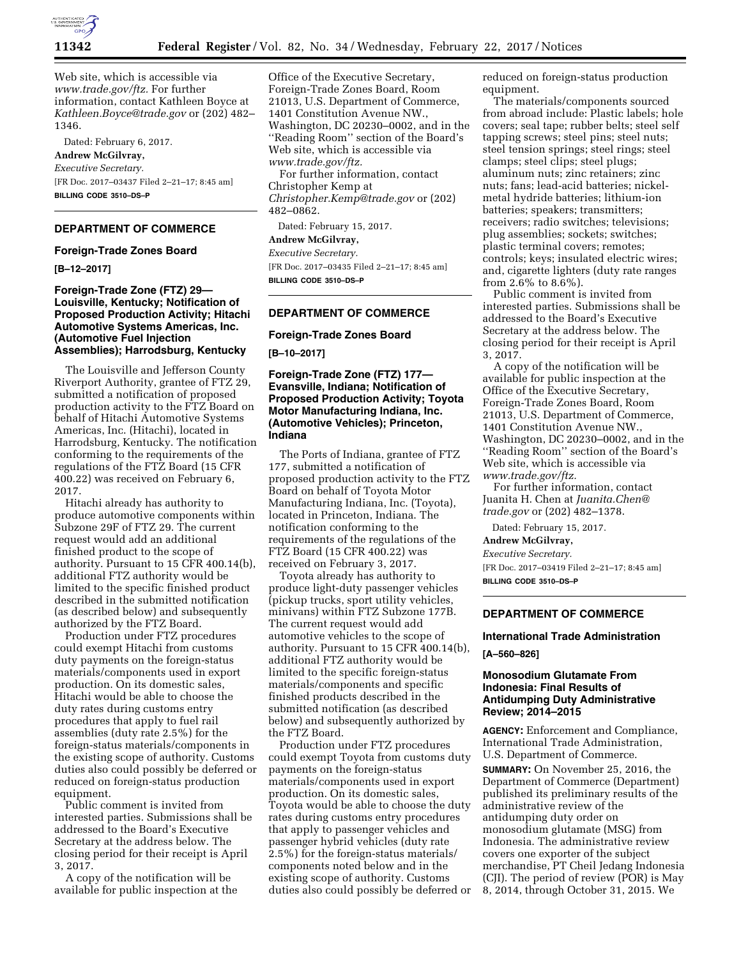

Web site, which is accessible via *[www.trade.gov/ftz.](http://www.trade.gov/ftz)* For further information, contact Kathleen Boyce at *[Kathleen.Boyce@trade.gov](mailto:Kathleen.Boyce@trade.gov)* or (202) 482– 1346.

Dated: February 6, 2017. **Andrew McGilvray,**  *Executive Secretary.*  [FR Doc. 2017–03437 Filed 2–21–17; 8:45 am] **BILLING CODE 3510–DS–P** 

## **DEPARTMENT OF COMMERCE**

## **Foreign-Trade Zones Board**

**[B–12–2017]** 

**Foreign-Trade Zone (FTZ) 29— Louisville, Kentucky; Notification of Proposed Production Activity; Hitachi Automotive Systems Americas, Inc. (Automotive Fuel Injection Assemblies); Harrodsburg, Kentucky** 

The Louisville and Jefferson County Riverport Authority, grantee of FTZ 29, submitted a notification of proposed production activity to the FTZ Board on behalf of Hitachi Automotive Systems Americas, Inc. (Hitachi), located in Harrodsburg, Kentucky. The notification conforming to the requirements of the regulations of the FTZ Board (15 CFR 400.22) was received on February 6, 2017.

Hitachi already has authority to produce automotive components within Subzone 29F of FTZ 29. The current request would add an additional finished product to the scope of authority. Pursuant to 15 CFR 400.14(b), additional FTZ authority would be limited to the specific finished product described in the submitted notification (as described below) and subsequently authorized by the FTZ Board.

Production under FTZ procedures could exempt Hitachi from customs duty payments on the foreign-status materials/components used in export production. On its domestic sales, Hitachi would be able to choose the duty rates during customs entry procedures that apply to fuel rail assemblies (duty rate 2.5%) for the foreign-status materials/components in the existing scope of authority. Customs duties also could possibly be deferred or reduced on foreign-status production equipment.

Public comment is invited from interested parties. Submissions shall be addressed to the Board's Executive Secretary at the address below. The closing period for their receipt is April 3, 2017.

A copy of the notification will be available for public inspection at the Office of the Executive Secretary, Foreign-Trade Zones Board, Room 21013, U.S. Department of Commerce, 1401 Constitution Avenue NW., Washington, DC 20230–0002, and in the ''Reading Room'' section of the Board's Web site, which is accessible via *[www.trade.gov/ftz.](http://www.trade.gov/ftz)*  For further information, contact Christopher Kemp at *[Christopher.Kemp@trade.gov](mailto:Christopher.Kemp@trade.gov)* or (202) 482–0862.

Dated: February 15, 2017.

# **Andrew McGilvray,**

*Executive Secretary.*  [FR Doc. 2017–03435 Filed 2–21–17; 8:45 am] **BILLING CODE 3510–DS–P** 

## **DEPARTMENT OF COMMERCE**

**Foreign-Trade Zones Board** 

**[B–10–2017]** 

# **Foreign-Trade Zone (FTZ) 177— Evansville, Indiana; Notification of Proposed Production Activity; Toyota Motor Manufacturing Indiana, Inc. (Automotive Vehicles); Princeton, Indiana**

The Ports of Indiana, grantee of FTZ 177, submitted a notification of proposed production activity to the FTZ Board on behalf of Toyota Motor Manufacturing Indiana, Inc. (Toyota), located in Princeton, Indiana. The notification conforming to the requirements of the regulations of the FTZ Board (15 CFR 400.22) was received on February 3, 2017.

Toyota already has authority to produce light-duty passenger vehicles (pickup trucks, sport utility vehicles, minivans) within FTZ Subzone 177B. The current request would add automotive vehicles to the scope of authority. Pursuant to 15 CFR 400.14(b), additional FTZ authority would be limited to the specific foreign-status materials/components and specific finished products described in the submitted notification (as described below) and subsequently authorized by the FTZ Board.

Production under FTZ procedures could exempt Toyota from customs duty payments on the foreign-status materials/components used in export production. On its domestic sales, Toyota would be able to choose the duty rates during customs entry procedures that apply to passenger vehicles and passenger hybrid vehicles (duty rate 2.5%) for the foreign-status materials/ components noted below and in the existing scope of authority. Customs duties also could possibly be deferred or reduced on foreign-status production equipment.

The materials/components sourced from abroad include: Plastic labels; hole covers; seal tape; rubber belts; steel self tapping screws; steel pins; steel nuts; steel tension springs; steel rings; steel clamps; steel clips; steel plugs; aluminum nuts; zinc retainers; zinc nuts; fans; lead-acid batteries; nickelmetal hydride batteries; lithium-ion batteries; speakers; transmitters; receivers; radio switches; televisions; plug assemblies; sockets; switches; plastic terminal covers; remotes; controls; keys; insulated electric wires; and, cigarette lighters (duty rate ranges from 2.6% to 8.6%).

Public comment is invited from interested parties. Submissions shall be addressed to the Board's Executive Secretary at the address below. The closing period for their receipt is April 3, 2017.

A copy of the notification will be available for public inspection at the Office of the Executive Secretary, Foreign-Trade Zones Board, Room 21013, U.S. Department of Commerce, 1401 Constitution Avenue NW., Washington, DC 20230–0002, and in the ''Reading Room'' section of the Board's Web site, which is accessible via *[www.trade.gov/ftz.](http://www.trade.gov/ftz)* 

For further information, contact Juanita H. Chen at *[Juanita.Chen@](mailto:Juanita.Chen@trade.gov) [trade.gov](mailto:Juanita.Chen@trade.gov)* or (202) 482–1378.

Dated: February 15, 2017.

**Andrew McGilvray,** 

*Executive Secretary.* 

[FR Doc. 2017–03419 Filed 2–21–17; 8:45 am] **BILLING CODE 3510–DS–P** 

## **DEPARTMENT OF COMMERCE**

### **International Trade Administration**

**[A–560–826]** 

## **Monosodium Glutamate From Indonesia: Final Results of Antidumping Duty Administrative Review; 2014–2015**

**AGENCY:** Enforcement and Compliance, International Trade Administration, U.S. Department of Commerce.

**SUMMARY:** On November 25, 2016, the Department of Commerce (Department) published its preliminary results of the administrative review of the antidumping duty order on monosodium glutamate (MSG) from Indonesia. The administrative review covers one exporter of the subject merchandise, PT Cheil Jedang Indonesia (CJI). The period of review (POR) is May 8, 2014, through October 31, 2015. We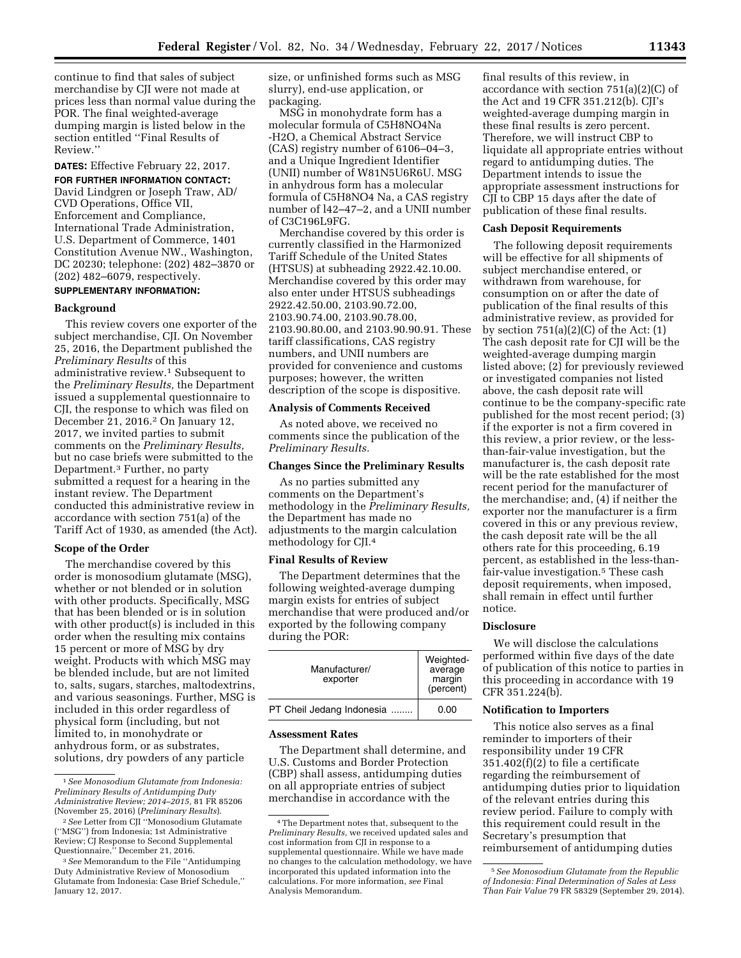continue to find that sales of subject merchandise by CJI were not made at prices less than normal value during the POR. The final weighted-average dumping margin is listed below in the section entitled ''Final Results of Review.''

**DATES:** Effective February 22, 2017.

**FOR FURTHER INFORMATION CONTACT:**  David Lindgren or Joseph Traw, AD/ CVD Operations, Office VII, Enforcement and Compliance, International Trade Administration, U.S. Department of Commerce, 1401 Constitution Avenue NW., Washington, DC 20230; telephone: (202) 482–3870 or (202) 482–6079, respectively. **SUPPLEMENTARY INFORMATION:** 

# **Background**

This review covers one exporter of the subject merchandise, CJI. On November 25, 2016, the Department published the *Preliminary Results* of this administrative review.1 Subsequent to the *Preliminary Results,* the Department issued a supplemental questionnaire to CJI, the response to which was filed on December 21, 2016.2 On January 12, 2017, we invited parties to submit comments on the *Preliminary Results,*  but no case briefs were submitted to the Department.3 Further, no party submitted a request for a hearing in the instant review. The Department conducted this administrative review in accordance with section 751(a) of the Tariff Act of 1930, as amended (the Act).

#### **Scope of the Order**

The merchandise covered by this order is monosodium glutamate (MSG), whether or not blended or in solution with other products. Specifically, MSG that has been blended or is in solution with other product(s) is included in this order when the resulting mix contains 15 percent or more of MSG by dry weight. Products with which MSG may be blended include, but are not limited to, salts, sugars, starches, maltodextrins, and various seasonings. Further, MSG is included in this order regardless of physical form (including, but not limited to, in monohydrate or anhydrous form, or as substrates, solutions, dry powders of any particle

size, or unfinished forms such as MSG slurry), end-use application, or packaging.

MSG in monohydrate form has a molecular formula of C5H8NO4Na -H2O, a Chemical Abstract Service (CAS) registry number of 6106–04–3, and a Unique Ingredient Identifier (UNII) number of W81N5U6R6U. MSG in anhydrous form has a molecular formula of C5H8NO4 Na, a CAS registry number of l42–47–2, and a UNII number of C3C196L9FG.

Merchandise covered by this order is currently classified in the Harmonized Tariff Schedule of the United States (HTSUS) at subheading 2922.42.10.00. Merchandise covered by this order may also enter under HTSUS subheadings 2922.42.50.00, 2103.90.72.00, 2103.90.74.00, 2103.90.78.00, 2103.90.80.00, and 2103.90.90.91. These tariff classifications, CAS registry numbers, and UNII numbers are provided for convenience and customs purposes; however, the written description of the scope is dispositive.

## **Analysis of Comments Received**

As noted above, we received no comments since the publication of the *Preliminary Results.* 

## **Changes Since the Preliminary Results**

As no parties submitted any comments on the Department's methodology in the *Preliminary Results,*  the Department has made no adjustments to the margin calculation methodology for CJI.4

#### **Final Results of Review**

The Department determines that the following weighted-average dumping margin exists for entries of subject merchandise that were produced and/or exported by the following company during the POR:

| Manufacturer/<br>exporter | Weighted-<br>average<br>margin<br>(percent) |
|---------------------------|---------------------------------------------|
| PT Cheil Jedang Indonesia | 0.00                                        |

#### **Assessment Rates**

The Department shall determine, and U.S. Customs and Border Protection (CBP) shall assess, antidumping duties on all appropriate entries of subject merchandise in accordance with the

final results of this review, in accordance with section 751(a)(2)(C) of the Act and 19 CFR 351.212(b). CJI's weighted-average dumping margin in these final results is zero percent. Therefore, we will instruct CBP to liquidate all appropriate entries without regard to antidumping duties. The Department intends to issue the appropriate assessment instructions for CJI to CBP 15 days after the date of publication of these final results.

#### **Cash Deposit Requirements**

The following deposit requirements will be effective for all shipments of subject merchandise entered, or withdrawn from warehouse, for consumption on or after the date of publication of the final results of this administrative review, as provided for by section  $751(a)(2)(C)$  of the Act:  $(1)$ The cash deposit rate for CJI will be the weighted-average dumping margin listed above; (2) for previously reviewed or investigated companies not listed above, the cash deposit rate will continue to be the company-specific rate published for the most recent period; (3) if the exporter is not a firm covered in this review, a prior review, or the lessthan-fair-value investigation, but the manufacturer is, the cash deposit rate will be the rate established for the most recent period for the manufacturer of the merchandise; and, (4) if neither the exporter nor the manufacturer is a firm covered in this or any previous review, the cash deposit rate will be the all others rate for this proceeding, 6.19 percent, as established in the less-thanfair-value investigation.5 These cash deposit requirements, when imposed, shall remain in effect until further notice.

## **Disclosure**

We will disclose the calculations performed within five days of the date of publication of this notice to parties in this proceeding in accordance with 19 CFR 351.224(b).

## **Notification to Importers**

This notice also serves as a final reminder to importers of their responsibility under 19 CFR 351.402(f)(2) to file a certificate regarding the reimbursement of antidumping duties prior to liquidation of the relevant entries during this review period. Failure to comply with this requirement could result in the Secretary's presumption that reimbursement of antidumping duties

<sup>1</sup>*See Monosodium Glutamate from Indonesia: Preliminary Results of Antidumping Duty Administrative Review; 2014–2015,* 81 FR 85206 (November 25, 2016) (*Preliminary Results*).

<sup>2</sup>*See* Letter from CJI ''Monosodium Glutamate (''MSG'') from Indonesia; 1st Administrative Review; CJ Response to Second Supplemental Questionnaire,'' December 21, 2016.

<sup>3</sup>*See* Memorandum to the File ''Antidumping Duty Administrative Review of Monosodium Glutamate from Indonesia: Case Brief Schedule,'' January 12, 2017.

<sup>4</sup>The Department notes that, subsequent to the *Preliminary Results,* we received updated sales and cost information from CJI in response to a supplemental questionnaire. While we have made no changes to the calculation methodology, we have incorporated this updated information into the calculations. For more information, *see* Final Analysis Memorandum.

<sup>5</sup>*See Monosodium Glutamate from the Republic of Indonesia: Final Determination of Sales at Less Than Fair Value* 79 FR 58329 (September 29, 2014).